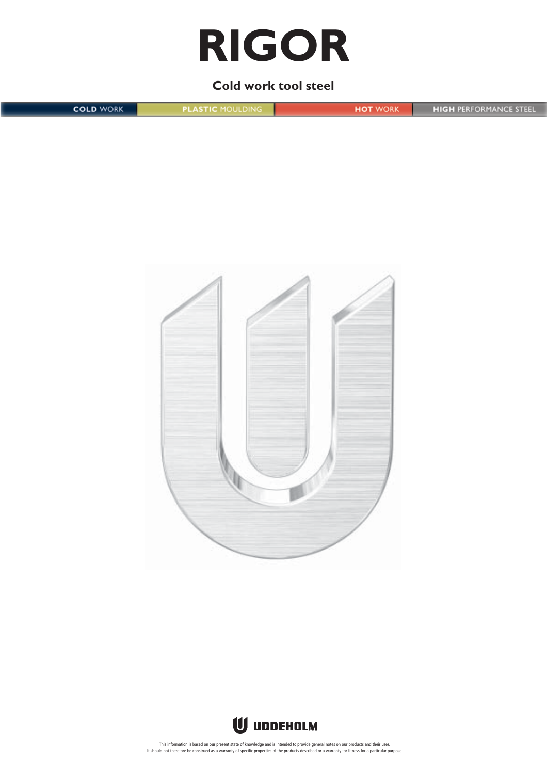# **RIGOR**

**Cold work tool steel**

**HIGH PERFORMANCE STEEL COLD WORK PLASTIC MOULDING HOT** WORK





This information is based on our present state of knowledge and is intended to provide general notes on our products and their uses.<br>It should not therefore be construed as a warranty of specific properties of the products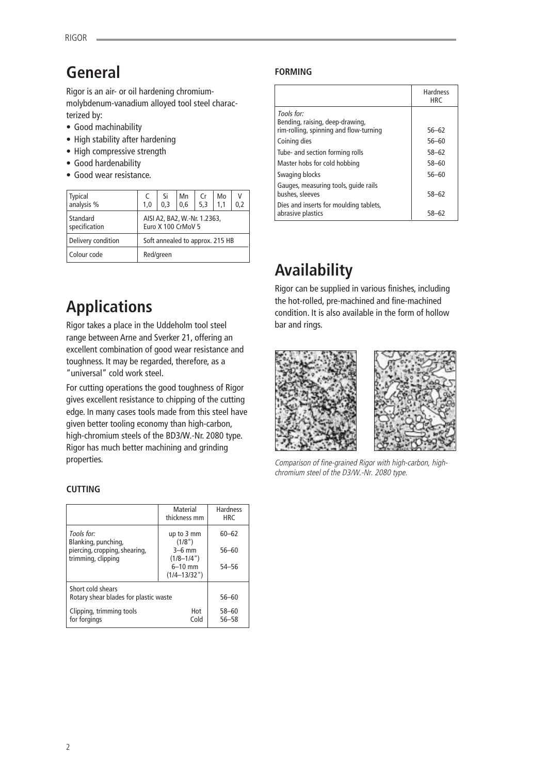# **General**

Rigor is an air- or oil hardening chromiummolybdenum-vanadium alloyed tool steel characterized by:

- Good machinability
- High stability after hardening
- High compressive strength
- Good hardenability
- Good wear resistance.

| Typical<br>analysis %     | 1,0                                                | Si<br>0.3 | Mn<br>0,6 | Cr<br>5,3 | Mo<br>1,1 | ٧<br>0,2 |
|---------------------------|----------------------------------------------------|-----------|-----------|-----------|-----------|----------|
| Standard<br>specification | AISI A2, BA2, W.-Nr. 1.2363,<br>Euro X 100 CrMoV 5 |           |           |           |           |          |
| Delivery condition        | Soft annealed to approx. 215 HB                    |           |           |           |           |          |
| Colour code               | Red/green                                          |           |           |           |           |          |

# **Applications**

Rigor takes a place in the Uddeholm tool steel range between Arne and Sverker 21, offering an excellent combination of good wear resistance and toughness. It may be regarded, therefore, as a "universal" cold work steel.

For cutting operations the good toughness of Rigor gives excellent resistance to chipping of the cutting edge. In many cases tools made from this steel have given better tooling economy than high-carbon, high-chromium steels of the BD3/W.-Nr. 2080 type. Rigor has much better machining and grinding properties.

## **CUTTING**

|                                                     | <b>Material</b><br>thickness mm | <b>Hardness</b><br><b>HRC</b> |
|-----------------------------------------------------|---------------------------------|-------------------------------|
| Tools for:<br>Blanking, punching,                   | up to 3 mm<br>(1/8")            | $60 - 62$                     |
| piercing, cropping, shearing,<br>trimming, clipping | $3-6$ mm<br>$(1/8 - 1/4")$      | $56 - 60$                     |
|                                                     | $6 - 10$ mm                     | 54-56                         |
|                                                     | $(1/4 - 13/32")$                |                               |
| Short cold shears                                   |                                 |                               |
| Rotary shear blades for plastic waste               |                                 | $56 - 60$                     |
| Clipping, trimming tools                            | Hot                             | $58 - 60$                     |
| for forgings                                        | Cold                            | 56-58                         |

# **FORMING**

|                                                                                         | <b>Hardness</b><br><b>HRC</b> |
|-----------------------------------------------------------------------------------------|-------------------------------|
| Tools for:<br>Bending, raising, deep-drawing,<br>rim-rolling, spinning and flow-turning | 56-62                         |
|                                                                                         |                               |
| Coining dies                                                                            | 56-60                         |
| Tube- and section forming rolls                                                         | 58-62                         |
| Master hobs for cold hobbing                                                            | 58-60                         |
| Swaging blocks                                                                          | $56 - 60$                     |
| Gauges, measuring tools, quide rails<br>bushes, sleeves                                 | 58-62                         |
| Dies and inserts for moulding tablets,<br>abrasive plastics                             | 58–62                         |

# **Availability**

Rigor can be supplied in various finishes, including the hot-rolled, pre-machined and fine-machined condition. It is also available in the form of hollow bar and rings.



Comparison of fine-grained Rigor with high-carbon, highchromium steel of the D3/W.-Nr. 2080 type.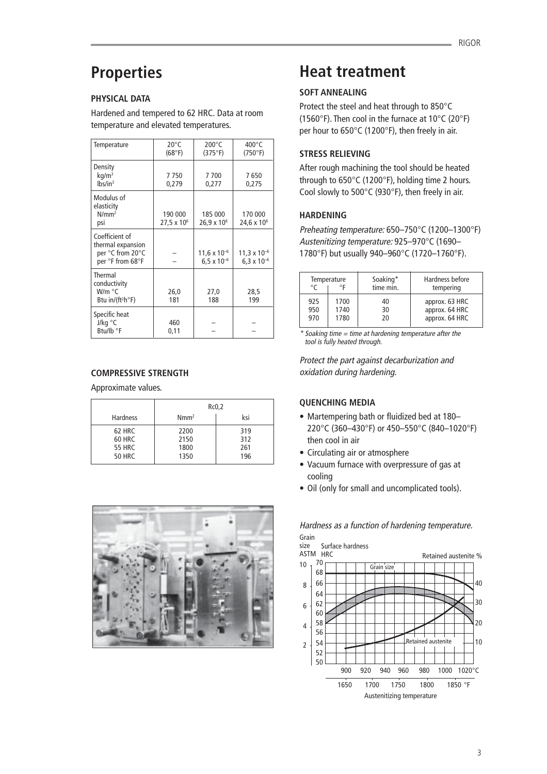# **Properties**

# **PHYSICAL DATA**

Hardened and tempered to 62 HRC. Data at room temperature and elevated temperatures.

| Temperature                                                                    | $20^{\circ}$ C<br>(68°F)          | $200^{\circ}$ C<br>(375°F)                    | $400^{\circ}$ C<br>(750°F)                    |
|--------------------------------------------------------------------------------|-----------------------------------|-----------------------------------------------|-----------------------------------------------|
| Density<br>$kq/m^3$<br>lbs/in <sup>3</sup>                                     | 7750<br>0,279                     | 7700<br>0,277                                 | 7650<br>0,275                                 |
| Modulus of<br>elasticity<br>$N/mm^2$<br>psi                                    | 190 000<br>27,5 x 10 <sup>6</sup> | 185 000<br>26,9 x 10 <sup>6</sup>             | 170 000<br>24,6 x 10 <sup>6</sup>             |
| Coefficient of<br>thermal expansion<br>per °C from 20°C<br>per °F from 68°F    |                                   | $11,6 \times 10^{-6}$<br>$6.5 \times 10^{-6}$ | $11,3 \times 10^{-6}$<br>$6.3 \times 10^{-6}$ |
| Thermal<br>conductivity<br>W/m °C<br>Btu in/(ft <sup>2</sup> h <sup>o</sup> F) | 26,0<br>181                       | 27,0<br>188                                   | 28,5<br>199                                   |
| Specific heat<br>J/kg °C<br>Btu/lb °F                                          | 460<br>0,11                       |                                               |                                               |

# **COMPRESSIVE STRENGTH**

Approximate values.

|                 | Rc0,2            |     |  |
|-----------------|------------------|-----|--|
| <b>Hardness</b> | Nmm <sup>2</sup> | ksi |  |
| 62 HRC          | 2200             | 319 |  |
| 60 HRC          | 2150             | 312 |  |
| <b>55 HRC</b>   | 1800             | 261 |  |
| <b>50 HRC</b>   | 1350             | 196 |  |
|                 |                  |     |  |



# **Heat treatment**

# **SOFT ANNEALING**

Protect the steel and heat through to 850°C (1560°F). Then cool in the furnace at 10°C (20°F) per hour to 650°C (1200°F), then freely in air.

# **STRESS RELIEVING**

After rough machining the tool should be heated through to 650°C (1200°F), holding time 2 hours. Cool slowly to 500°C (930°F), then freely in air.

### **HARDENING**

Preheating temperature: 650–750°C (1200–1300°F) Austenitizing temperature: 925–970°C (1690– 1780°F) but usually 940–960°C (1720–1760°F).

| Temperature<br>$^{\circ}$ F<br>$\circ$ |      | Soaking*<br>time min. | Hardness before<br>tempering |
|----------------------------------------|------|-----------------------|------------------------------|
| 925                                    | 1700 | 40                    | approx. 63 HRC               |
| 950                                    | 1740 | 30                    | approx. 64 HRC               |
| 970                                    | 1780 | 20                    | approx. 64 HRC               |

 $*$  Soaking time  $=$  time at hardening temperature after the tool is fully heated through.

Protect the part against decarburization and oxidation during hardening.

### **QUENCHING MEDIA**

- Martempering bath or fluidized bed at 180– 220°C (360–430°F) or 450–550°C (840–1020°F) then cool in air
- Circulating air or atmosphere
- Vacuum furnace with overpressure of gas at cooling
- Oil (only for small and uncomplicated tools).

 Surface hardness ASTM HRC 70 68 66 64 62 60 58 56 54 52  $50$ Retained austenite % 40 30  $20<sup>2</sup>$ 10 size 10 8 6 4 2 900 920 940 960 980 1000 1020°C 1650 1700 1750 1800 1850 °F Austenitizing temperature Retained austenite Grain size

Grain Hardness as a function of hardening temperature.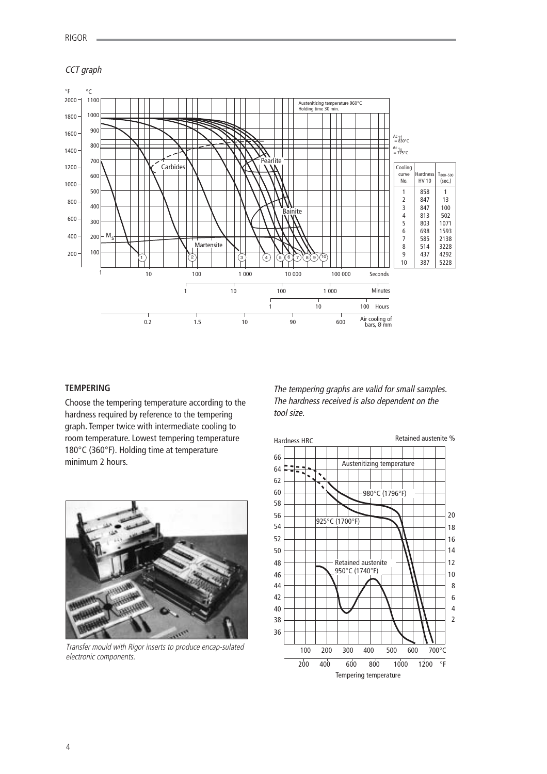### CCT graph



# **TEMPERING**

Choose the tempering temperature according to the hardness required by reference to the tempering graph. Temper twice with intermediate cooling to room temperature. Lowest tempering temperature °C (360°F). Holding time at temperature minimum 2 hours.



Transfer mould with Rigor inserts to produce encap-sulated electronic components.

The tempering graphs are valid for small samples. The hardness received is also dependent on the tool size.

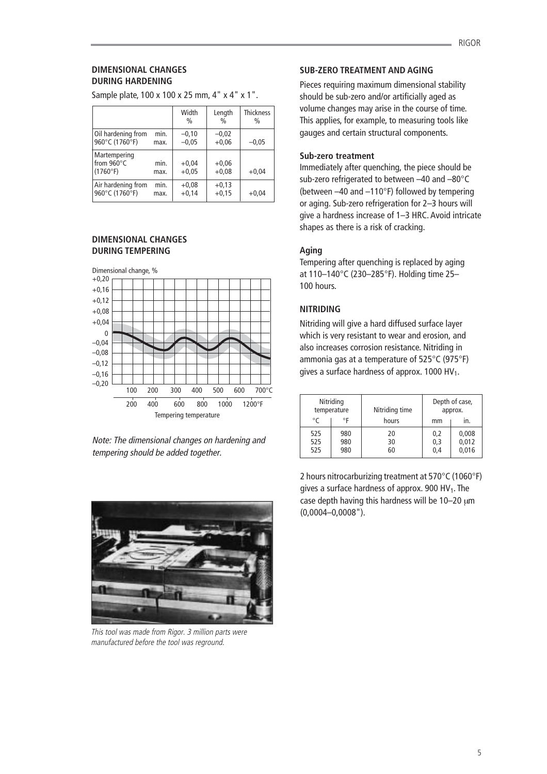#### **DIMENSIONAL CHANGES DURING HARDENING**

Width Length Thickness %%% Oil hardening from min.  $\begin{vmatrix} -0.10 \\ -0.02 \end{vmatrix}$   $\begin{vmatrix} -0.02 \\ +0.06 \end{vmatrix}$ 960°C (1760°F) max.  $\begin{vmatrix} -0.05 \\ +0.06 \end{vmatrix}$   $\begin{vmatrix} +0.06 \\ -0.05 \end{vmatrix}$  -0.05 Martempering from  $960^{\circ}$ C min.  $+0.04 +0.06$ <br>(1760°F) max.  $+0.05 +0.08$  $(1760°F)$  max.  $+0.05$   $+0.08$   $+0.04$ Air hardening from min.  $+0.08 +0.13$ <br>960°C (1760°F) max.  $+0.14 +0.15$ 960°C (1760°F) max.  $+0,14$   $+0,15$   $+0,04$ 

Sample plate, 100 x 100 x 25 mm, 4" x 4" x 1".

#### **DIMENSIONAL CHANGES DURING TEMPERING**



Note: The dimensional changes on hardening and tempering should be added together.



This tool was made from Rigor. 3 million parts were manufactured before the tool was reground.

### **SUB-ZERO TREATMENT AND AGING**

Pieces requiring maximum dimensional stability should be sub-zero and/or artificially aged as volume changes may arise in the course of time. This applies, for example, to measuring tools like gauges and certain structural components.

#### **Sub-zero treatment**

Immediately after quenching, the piece should be sub-zero refrigerated to between –40 and –80°C (between –40 and –110°F) followed by tempering or aging. Sub-zero refrigeration for 2–3 hours will give a hardness increase of 1–3 HRC. Avoid intricate shapes as there is a risk of cracking.

# **Aging**

Tempering after quenching is replaced by aging at 110–140°C (230–285°F). Holding time 25– 100 hours.

### **NITRIDING**

Nitriding will give a hard diffused surface layer which is very resistant to wear and erosion, and also increases corrosion resistance. Nitriding in ammonia gas at a temperature of 525°C (975°F) gives a surface hardness of approx. 1000 HV<sub>1</sub>.

|                   | Nitriding<br>temperature | Nitriding time |                   | Depth of case,<br>approx. |
|-------------------|--------------------------|----------------|-------------------|---------------------------|
| °C                | ۰F                       | hours          | mm                | In.                       |
| 525<br>525<br>525 | 980<br>980<br>980        | 20<br>30<br>60 | 0,2<br>0,3<br>0,4 | 0,008<br>0,012<br>0,016   |

2 hours nitrocarburizing treatment at 570°C (1060°F) gives a surface hardness of approx.  $900$  HV<sub>1</sub>. The case depth having this hardness will be 10-20  $\mu$ m (0,0004–0,0008").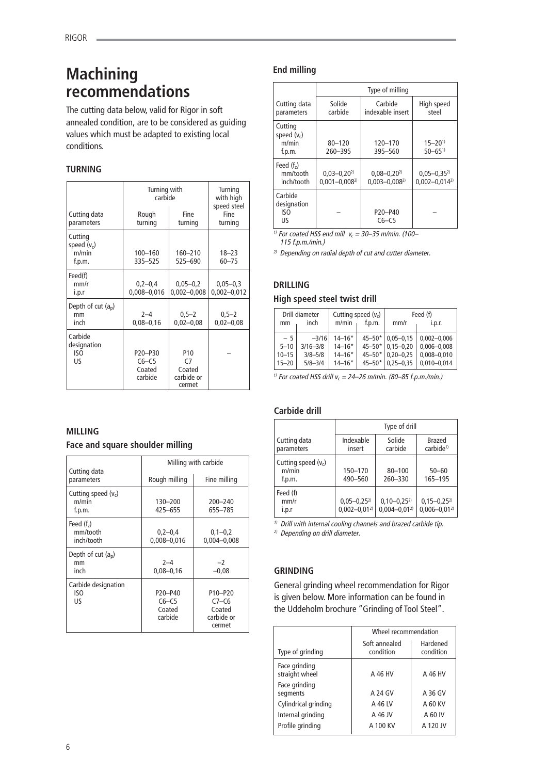# **Machining recommendations**

The cutting data below, valid for Rigor in soft annealed condition, are to be considered as guiding values which must be adapted to existing local conditions.

# **TURNING**

|                                             | Turning with<br>carbide                 | Turning<br>with high<br>speed steel                                 |                                 |
|---------------------------------------------|-----------------------------------------|---------------------------------------------------------------------|---------------------------------|
| Cutting data<br>parameters                  | Rough<br>turning                        | Fine<br>turning                                                     | Fine<br>turning                 |
| Cutting<br>speed $(v_c)$<br>m/min<br>f.p.m. | $100 - 160$<br>335-525                  | 160-210<br>525-690                                                  | $18 - 23$<br>$60 - 75$          |
| Feed(f)<br>mm/r<br>i.p.r                    | $0,2-0,4$<br>$0,008 - 0,016$            | $0,05 - 0,2$<br>$0,002 - 0,008$                                     | $0,05 - 0,3$<br>$0,002 - 0,012$ |
| Depth of cut (ap)<br>mm<br>inch             | $2 - 4$<br>$0.08 - 0.16$                | $0,5 - 2$<br>$0,02 - 0,08$                                          | $0,5 - 2$<br>$0,02 - 0,08$      |
| Carbide<br>designation<br>ISO<br>US         | P20-P30<br>$C6-C5$<br>Coated<br>carbide | P <sub>10</sub><br>C <sub>7</sub><br>Coated<br>carbide or<br>cermet |                                 |

# **MILLING**

### **Face and square shoulder milling**

| Cutting data                             | Milling with carbide                    |                                                                               |  |  |
|------------------------------------------|-----------------------------------------|-------------------------------------------------------------------------------|--|--|
| parameters                               | Rough milling                           | Fine milling                                                                  |  |  |
| Cutting speed $(v_c)$<br>m/min<br>f.p.m. | $130 - 200$<br>425-655                  | $200 - 240$<br>655-785                                                        |  |  |
| Feed $(fz)$<br>mm/tooth<br>inch/tooth    | $0,2-0,4$<br>$0,008 - 0,016$            | $0,1-0,2$<br>$0.004 - 0.008$                                                  |  |  |
| Depth of cut $(a_n)$<br>mm<br>inch       | $2 - 4$<br>$0,08 - 0,16$                | $-2$<br>$-0,08$                                                               |  |  |
| Carbide designation<br>ISO<br>IJς        | P20-P40<br>$C6-C5$<br>Coated<br>carbide | P <sub>10</sub> -P <sub>20</sub><br>$C7-C6$<br>Coated<br>carbide or<br>cermet |  |  |

# **End milling**

|                                             | Type of milling                          |                                          |                                        |  |
|---------------------------------------------|------------------------------------------|------------------------------------------|----------------------------------------|--|
| Cutting data<br>parameters                  | Solide<br>carbide                        | Carbide<br>indexable insert              | High speed<br>steel                    |  |
| Cutting<br>speed $(v_c)$<br>m/min<br>f.p.m. | $80 - 120$<br>260-395                    | 120-170<br>395-560                       | $15 - 20^{1}$<br>$50 - 65^{1}$         |  |
| Feed $(fz)$<br>mm/tooth<br>inch/tooth       | $0.03 - 0.20^{2}$<br>$0,001 - 0,008^{2}$ | $0.08 - 0.20^{2}$<br>$0.003 - 0.008^{2}$ | $0,05-0,35^{2}$<br>$0.002 - 0.014^{2}$ |  |
| Carbide<br>designation<br>ISO<br>US         |                                          | P20-P40<br>$C6-C5$                       |                                        |  |

<sup>1)</sup> For coated HSS end mill  $v_c = 30 - 35$  m/min. (100-115 f.p.m./min.)

 $2)$  Depending on radial depth of cut and cutter diameter.

### **DRILLING**

#### **High speed steel twist drill**

|           | Drill diameter | Cutting speed $(v_c)$ |             | Feed (f)      |                 |
|-----------|----------------|-----------------------|-------------|---------------|-----------------|
| mm        | inch           | m/min                 | f.p.m.      | mm/r          | i.p.r.          |
| $-5$      | $-3/16$        | $14 - 16*$            | $45 - 50*$  | $0.05 - 0.15$ | $0,002 - 0,006$ |
| $5 - 10$  | $3/16 - 3/8$   | $14 - 16*$            | $45 - 50$ * | $0.15 - 0.20$ | $0.006 - 0.008$ |
| $10 - 15$ | $3/8 - 5/8$    | $14 - 16*$            | $45 - 50*$  | $0.20 - 0.25$ | $0.008 - 0.010$ |
| $15 - 20$ | $5/8 - 3/4$    | $14 - 16*$            | $45 - 50*$  | $0.25 - 0.35$ | $0.010 - 0.014$ |

<sup>1)</sup> For coated HSS drill  $v_c = 24 - 26$  m/min. (80-85 f.p.m./min.)

### **Carbide drill**

|                                          | Type of drill                           |                                       |                                       |  |
|------------------------------------------|-----------------------------------------|---------------------------------------|---------------------------------------|--|
| Cutting data<br>parameters               | Indexable<br>insert                     | Solide<br>carbide                     | Brazed<br>carbide <sup>1)</sup>       |  |
| Cutting speed $(v_c)$<br>m/min<br>f.p.m. | 150-170<br>490-560                      | $80 - 100$<br>260-330                 | $50 - 60$<br>165-195                  |  |
| Feed (f)<br>mm/r<br>i.p.r                | $0,05 - 0,25^{2}$<br>$0.002 - 0.01^{2}$ | $0,10-0,25^{2}$<br>$0,004 - 0,01^{2}$ | $0,15-0,25^{2}$<br>$0,006 - 0,01^{2}$ |  |

 $1)$  Drill with internal cooling channels and brazed carbide tip.

2) Depending on drill diameter.

### **GRINDING**

General grinding wheel recommendation for Rigor is given below. More information can be found in the Uddeholm brochure "Grinding of Tool Steel".

|                                 | Wheel recommendation       |                       |  |  |  |
|---------------------------------|----------------------------|-----------------------|--|--|--|
| Type of grinding                | Soft annealed<br>condition | Hardened<br>condition |  |  |  |
| Face grinding<br>straight wheel | A 46 HV                    | A 46 HV               |  |  |  |
| Face grinding<br>segments       | A 24 GV                    | A 36 GV               |  |  |  |
| Cylindrical grinding            | A 46 LV                    | A 60 KV               |  |  |  |
| Internal grinding               | A 46 JV                    | A 60 IV               |  |  |  |
| Profile grinding                | A 100 KV                   | A 120 JV              |  |  |  |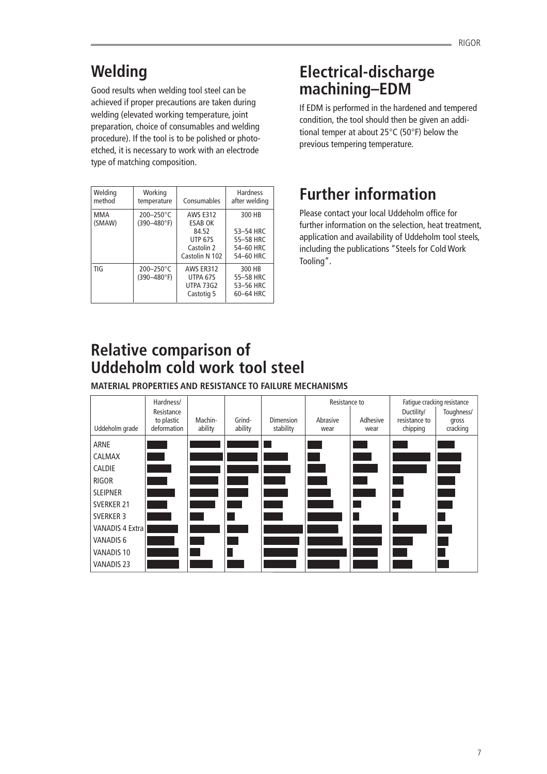# **Welding**

Good results when welding tool steel can be achieved if proper precautions are taken during welding (elevated working temperature, joint preparation, choice of consumables and welding procedure). If the tool is to be polished or photoetched, it is necessary to work with an electrode type of matching composition.

| Welding<br>method | Working<br>temperature                    | Consumables                                                                | <b>Hardness</b><br>after welding              |
|-------------------|-------------------------------------------|----------------------------------------------------------------------------|-----------------------------------------------|
| MMA<br>(SMAW)     | $200 - 250^{\circ}$ C<br>$(390 - 480$ °F) | <b>AWS E312</b><br><b>ESAB OK</b><br>84.52<br><b>UTP 67S</b><br>Castolin 2 | 300 HB<br>53-54 HRC<br>55-58 HRC<br>54-60 HRC |
|                   |                                           | Castolin N 102                                                             | 54-60 HRC                                     |
| TIG               | $200 - 250^{\circ}$ C<br>$(390 - 480$ °F) | AWS FR312<br>UTPA 67S<br><b>UTPA 73G2</b><br>Castotig 5                    | 300 HB<br>55-58 HRC<br>53-56 HRC<br>60-64 HRC |

# **Electrical-discharge machining–EDM**

If EDM is performed in the hardened and tempered condition, the tool should then be given an additional temper at about 25°C (50°F) below the previous tempering temperature.

# **Further information**

Please contact your local Uddeholm office for further information on the selection, heat treatment, application and availability of Uddeholm tool steels, including the publications "Steels for Cold Work Tooling".

# **Relative comparison of Uddeholm cold work tool steel**

**MATERIAL PROPERTIES AND RESISTANCE TO FAILURE MECHANISMS**

| Uddeholm grade         | Hardness/<br>Resistance<br>to plastic<br>deformation | Machin-<br>ability | Grind-<br>ability | <b>Dimension</b><br>stability | Resistance to<br>Abrasive<br>wear | Adhesive<br>wear | Ductility/<br>resistance to<br>chipping | Fatique cracking resistance<br>Toughness/<br>gross<br>cracking |
|------------------------|------------------------------------------------------|--------------------|-------------------|-------------------------------|-----------------------------------|------------------|-----------------------------------------|----------------------------------------------------------------|
| ARNE                   |                                                      |                    |                   |                               |                                   |                  |                                         |                                                                |
| CALMAX                 |                                                      |                    |                   |                               |                                   |                  |                                         |                                                                |
| CALDIE                 |                                                      |                    |                   |                               |                                   |                  |                                         |                                                                |
| <b>RIGOR</b>           |                                                      |                    |                   |                               |                                   |                  |                                         |                                                                |
| <b>SLEIPNER</b>        |                                                      |                    |                   |                               |                                   |                  |                                         |                                                                |
| <b>SVERKER 21</b>      |                                                      |                    |                   |                               |                                   |                  |                                         |                                                                |
| <b>SVERKER 3</b>       |                                                      |                    |                   |                               |                                   |                  |                                         |                                                                |
| <b>VANADIS 4 Extra</b> |                                                      |                    |                   |                               |                                   |                  |                                         |                                                                |
| <b>VANADIS 6</b>       |                                                      |                    |                   |                               |                                   |                  |                                         |                                                                |
| VANADIS 10             |                                                      |                    |                   |                               |                                   |                  |                                         |                                                                |
| <b>VANADIS 23</b>      |                                                      |                    |                   |                               |                                   |                  |                                         |                                                                |